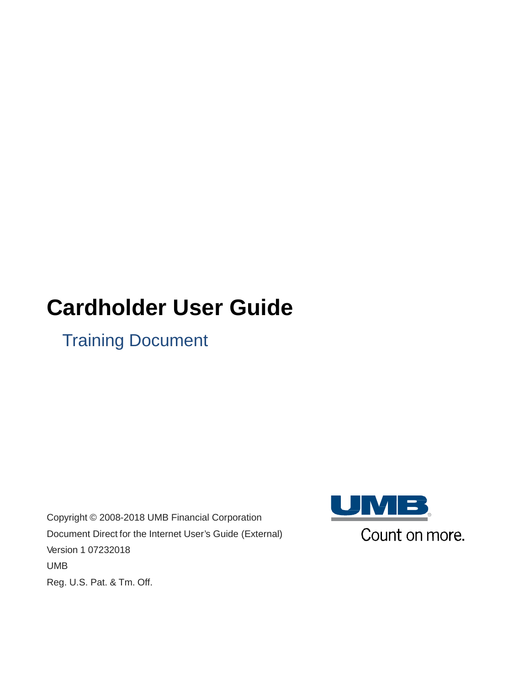# **Cardholder User Guide**

Training Document

Copyright © 2008-2018 UMB Financial Corporation Document Direct for the Internet User's Guide (External) Version 1 07232018 UMB Reg. U.S. Pat. & Tm. Off.

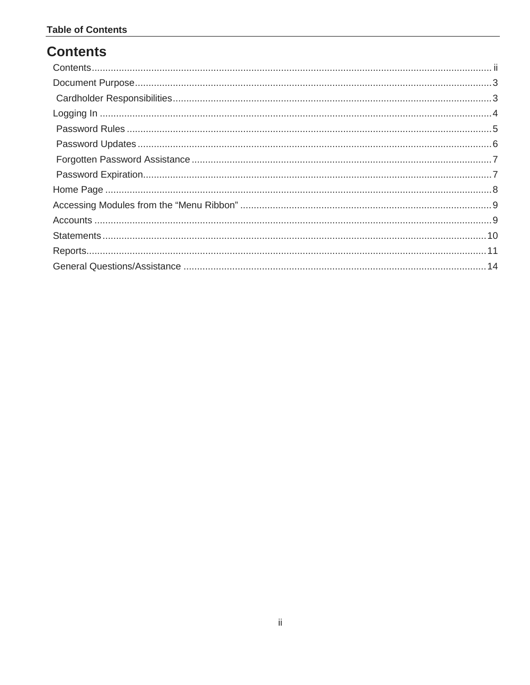# <span id="page-1-0"></span>**Contents**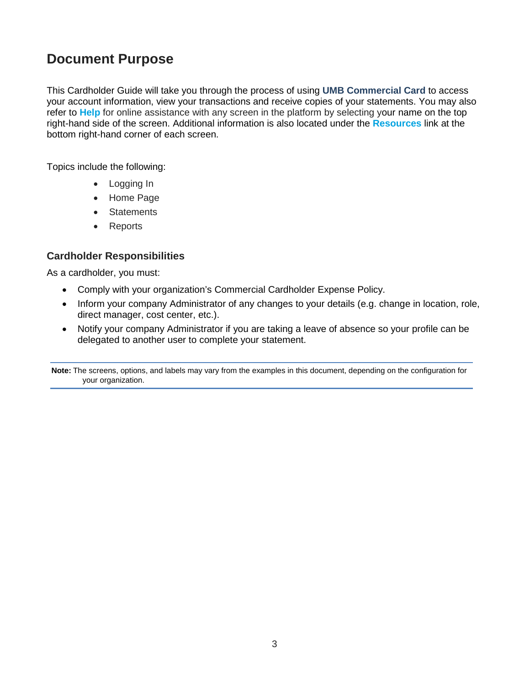# <span id="page-2-0"></span>**Document Purpose**

This Cardholder Guide will take you through the process of using **UMB Commercial Card** to access your account information, view your transactions and receive copies of your statements. You may also refer to **Help** for online assistance with any screen in the platform by selecting your name on the top right-hand side of the screen. Additional information is also located under the **Resources** link at the bottom right-hand corner of each screen.

Topics include the following:

- Logging In
- Home Page
- Statements
- Reports

#### <span id="page-2-1"></span>**Cardholder Responsibilities**

As a cardholder, you must:

- Comply with your organization's Commercial Cardholder Expense Policy.
- Inform your company Administrator of any changes to your details (e.g. change in location, role, direct manager, cost center, etc.).
- Notify your company Administrator if you are taking a leave of absence so your profile can be delegated to another user to complete your statement.

**Note:** The screens, options, and labels may vary from the examples in this document, depending on the configuration for your organization.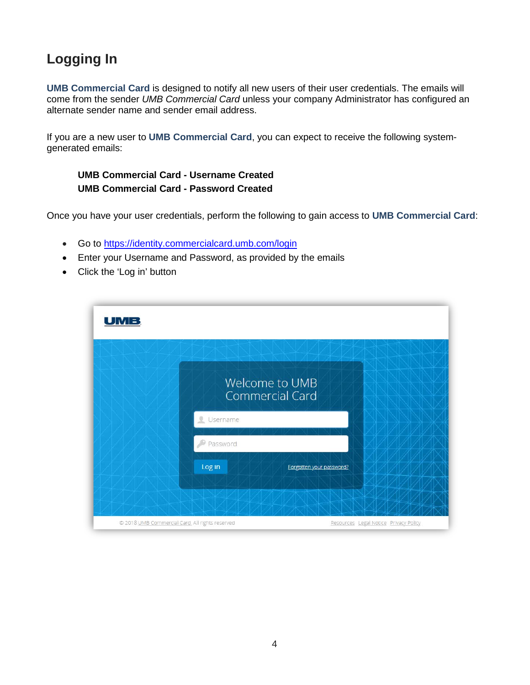# <span id="page-3-0"></span>**Logging In**

**UMB Commercial Card** is designed to notify all new users of their user credentials. The emails will come from the sender *UMB Commercial Card* unless your company Administrator has configured an alternate sender name and sender email address.

If you are a new user to **UMB Commercial Card**, you can expect to receive the following systemgenerated emails:

#### **UMB Commercial Card - Username Created UMB Commercial Card - Password Created**

Once you have your user credentials, perform the following to gain access to **UMB Commercial Card**:

- Go to<https://identity.commercialcard.umb.com/login>
- Enter your Username and Password, as provided by the emails
- Click the 'Log in' button

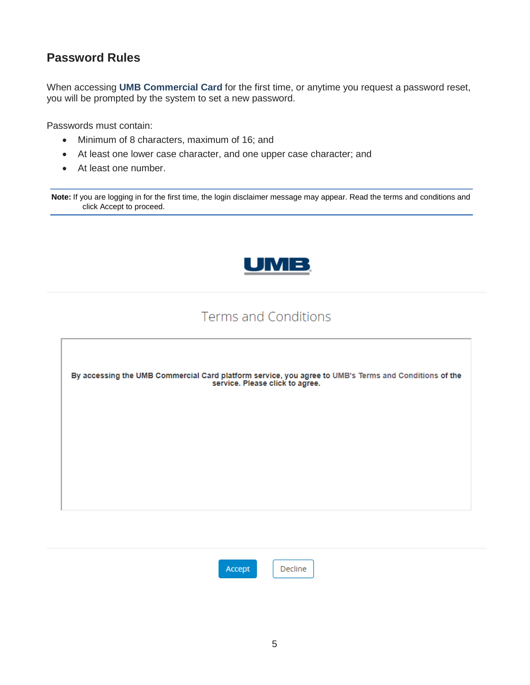## <span id="page-4-0"></span>**Password Rules**

When accessing **UMB Commercial Card** for the first time, or anytime you request a password reset, you will be prompted by the system to set a new password.

Passwords must contain:

- Minimum of 8 characters, maximum of 16; and
- At least one lower case character, and one upper case character; and
- At least one number.

**Note:** If you are logging in for the first time, the login disclaimer message may appear. Read the terms and conditions and click Accept to proceed.



## **Terms and Conditions**





Decline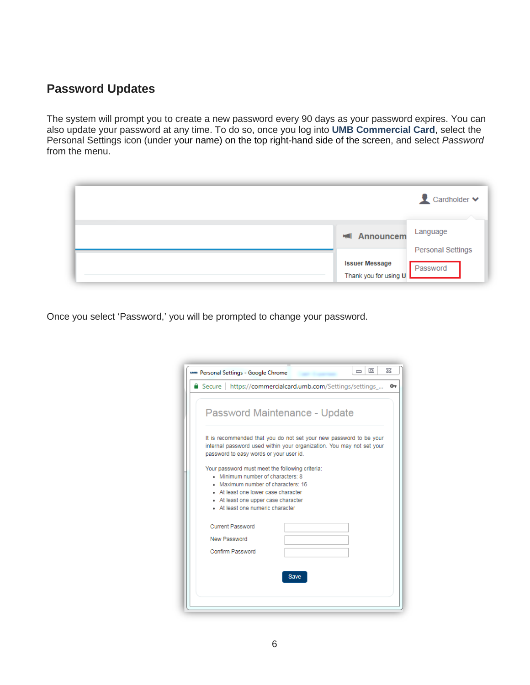#### <span id="page-5-0"></span>**Password Updates**

The system will prompt you to create a new password every 90 days as your password expires. You can also update your password at any time. To do so, once you log into **UMB Commercial Card**, select the Personal Settings icon (under your name) on the top right-hand side of the screen, and select *Password* from the menu.

|                                                | Cardholder v                         |
|------------------------------------------------|--------------------------------------|
| <b>Exil</b> Announcem                          | Language<br><b>Personal Settings</b> |
| <b>Issuer Message</b><br>Thank you for using U | Password                             |

Once you select 'Password,' you will be prompted to change your password.

| www Personal Settings - Google Chrome                                                                                                                                                  |             | 同<br>$\Box$ | 53 |
|----------------------------------------------------------------------------------------------------------------------------------------------------------------------------------------|-------------|-------------|----|
| Secure   https://commercialcard.umb.com/Settings/settings_                                                                                                                             |             |             | ᠳ  |
| Password Maintenance - Update                                                                                                                                                          |             |             |    |
| It is recommended that you do not set your new password to be your<br>internal password used within your organization. You may not set your<br>password to easy words or your user id. |             |             |    |
| Your password must meet the following criteria:                                                                                                                                        |             |             |    |
| Minimum number of characters: 8<br>. Maximum number of characters: 16                                                                                                                  |             |             |    |
| At least one lower case character                                                                                                                                                      |             |             |    |
| • At least one upper case character                                                                                                                                                    |             |             |    |
| At least one numeric character                                                                                                                                                         |             |             |    |
| <b>Current Password</b>                                                                                                                                                                |             |             |    |
| New Password                                                                                                                                                                           |             |             |    |
| Confirm Password                                                                                                                                                                       |             |             |    |
|                                                                                                                                                                                        |             |             |    |
|                                                                                                                                                                                        | <b>Save</b> |             |    |
|                                                                                                                                                                                        |             |             |    |
|                                                                                                                                                                                        |             |             |    |
|                                                                                                                                                                                        |             |             |    |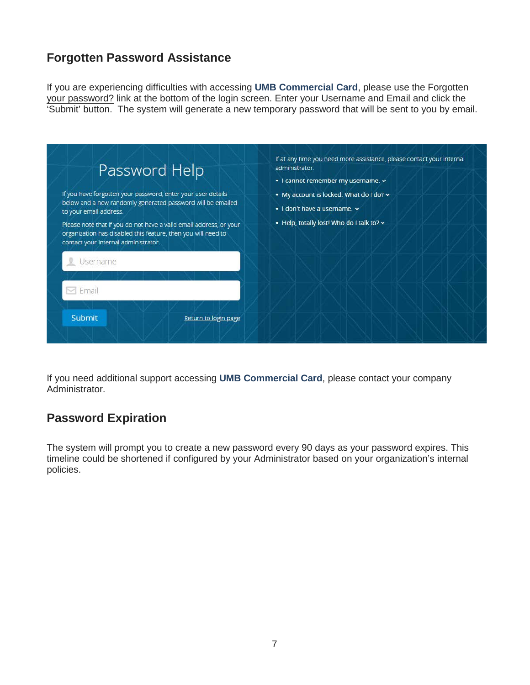## <span id="page-6-0"></span>**Forgotten Password Assistance**

If you are experiencing difficulties with accessing **UMB Commercial Card**, please use the Forgotten your password? link at the bottom of the login screen. Enter your Username and Email and click the 'Submit' button. The system will generate a new temporary password that will be sent to you by email.

| Password Help<br>If you have forgotten your password, enter your user details<br>below and a new randomly generated password will be emailed<br>to your email address.                  | administrator. | • I don't have a username. $\sim$ | If at any time you need more assistance, please contact your internal<br>· I cannot remember my username. v<br>• My account is locked. What do I do? v |  |  |  |
|-----------------------------------------------------------------------------------------------------------------------------------------------------------------------------------------|----------------|-----------------------------------|--------------------------------------------------------------------------------------------------------------------------------------------------------|--|--|--|
| Please note that if you do not have a valid email address, or your<br>organization has disabled this feature, then you will need to<br>contact your internal administrator.<br>Username |                |                                   | . Help, totally lost! Who do I talk to? v                                                                                                              |  |  |  |
| $\boxdot$ Email                                                                                                                                                                         |                |                                   |                                                                                                                                                        |  |  |  |
| Submit<br>Return to login page                                                                                                                                                          |                |                                   |                                                                                                                                                        |  |  |  |

If you need additional support accessing **UMB Commercial Card**, please contact your company Administrator.

#### <span id="page-6-1"></span>**Password Expiration**

The system will prompt you to create a new password every 90 days as your password expires. This timeline could be shortened if configured by your Administrator based on your organization's internal policies.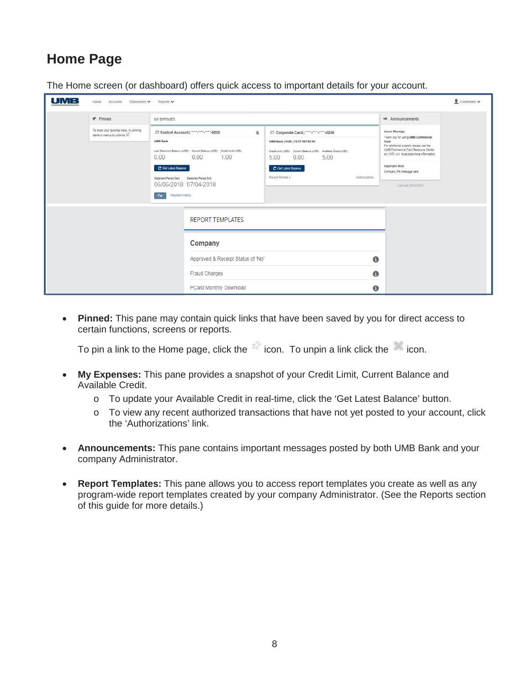# <span id="page-7-0"></span>**Home Page**

| <b>UMB</b> | Home<br>Accounts<br>Statements V                                         | Reports v                                                                                                                                                                                                                                                                                |                                   |                                                                                                                                                                                                            |                |                                                                                                                                                                                                                                                                | Cardholder v |
|------------|--------------------------------------------------------------------------|------------------------------------------------------------------------------------------------------------------------------------------------------------------------------------------------------------------------------------------------------------------------------------------|-----------------------------------|------------------------------------------------------------------------------------------------------------------------------------------------------------------------------------------------------------|----------------|----------------------------------------------------------------------------------------------------------------------------------------------------------------------------------------------------------------------------------------------------------------|--------------|
|            | * Pinned                                                                 | MY EXPENSES                                                                                                                                                                                                                                                                              |                                   | <b>HAI</b> Announcements                                                                                                                                                                                   |                |                                                                                                                                                                                                                                                                |              |
|            | To show your favorites here, try pinning<br>items in menus by clicking X | <b>El Control Account   ****.****.****.0202</b><br><b>UMB Bank</b><br>Last Statement Balance (USD) Current Balance (USD) Credit Limit (USD)<br>0.00<br>0.00<br>C Get Latest Balance<br>Statement Period Start<br>Statement Period End<br>06/06/2018 07/04/2018<br>Payment History<br>Pay | 亞<br>1.00                         | Corporate Card   ****. ****. 0236<br>UMB Bank   VISA   TEST REFRESH<br>Credit Limit (USD) Current Balance (USD) Available Credit (USD)<br>0.00<br>5.00<br>5.00<br>C Get Latest Balance<br>Recent Periods - | Authorizations | Issuer Message<br>Thank you for using UMB Commercial<br>Card<br>For additional support, please use the<br>UMB Commercial Card Resource Center<br>on UMB com to access more information.<br>Important Note<br>Company PA message here<br>Link visit: 07/24/2018 |              |
|            |                                                                          |                                                                                                                                                                                                                                                                                          | <b>REPORT TEMPLATES</b>           |                                                                                                                                                                                                            |                |                                                                                                                                                                                                                                                                |              |
|            |                                                                          |                                                                                                                                                                                                                                                                                          | Company                           |                                                                                                                                                                                                            |                |                                                                                                                                                                                                                                                                |              |
|            |                                                                          |                                                                                                                                                                                                                                                                                          | Approved & Receipt Status of 'No' |                                                                                                                                                                                                            | $\bf{0}$       |                                                                                                                                                                                                                                                                |              |
|            |                                                                          |                                                                                                                                                                                                                                                                                          | <b>Fraud Charges</b>              |                                                                                                                                                                                                            | $\mathbf 0$    |                                                                                                                                                                                                                                                                |              |
|            |                                                                          |                                                                                                                                                                                                                                                                                          | PCard Monthly Download            |                                                                                                                                                                                                            | $\bf{0}$       |                                                                                                                                                                                                                                                                |              |

The Home screen (or dashboard) offers quick access to important details for your account.

• **Pinned:** This pane may contain quick links that have been saved by you for direct access to certain functions, screens or reports.

To pin a link to the Home page, click the  $\sim$  icon. To unpin a link click the icon.

- **My Expenses:** This pane provides a snapshot of your Credit Limit, Current Balance and Available Credit.
	- o To update your Available Credit in real-time, click the 'Get Latest Balance' button.
	- o To view any recent authorized transactions that have not yet posted to your account, click the 'Authorizations' link.
- **Announcements:** This pane contains important messages posted by both UMB Bank and your company Administrator.
- **Report Templates:** This pane allows you to access report templates you create as well as any program-wide report templates created by your company Administrator. (See the Reports section of this guide for more details.)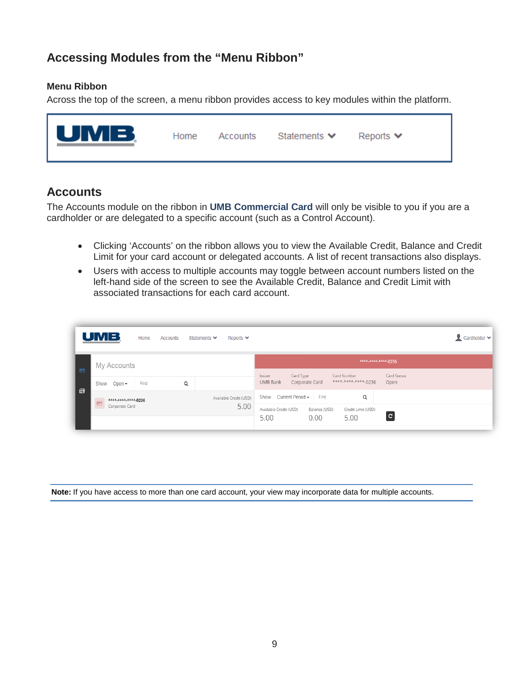#### <span id="page-8-0"></span>**Accessing Modules from the "Menu Ribbon"**

#### **Menu Ribbon**

Across the top of the screen, a menu ribbon provides access to key modules within the platform.



#### <span id="page-8-1"></span>**Accounts**

The Accounts module on the ribbon in **UMB Commercial Card** will only be visible to you if you are a cardholder or are delegated to a specific account (such as a Control Account).

- Clicking 'Accounts' on the ribbon allows you to view the Available Credit, Balance and Credit Limit for your card account or delegated accounts. A list of recent transactions also displays.
- Users with access to multiple accounts may toggle between account numbers listed on the left-hand side of the screen to see the Available Credit, Balance and Credit Limit with associated transactions for each card account.

|                | <b>UMB</b>                            | Home | Accounts | Statements $\blacktriangleright$ | Reports $\blacktriangleright$ |                                |                             |                       |                                                 |                     | Cardholder v |
|----------------|---------------------------------------|------|----------|----------------------------------|-------------------------------|--------------------------------|-----------------------------|-----------------------|-------------------------------------------------|---------------------|--------------|
| $\blacksquare$ | My Accounts                           |      |          |                                  |                               |                                |                             |                       | **** **** **** 0236                             |                     |              |
|                | Show<br>Open -                        | Find | Q        |                                  |                               | Issuer<br>UMB Bank             | Card Type<br>Corporate Card |                       | Card Number<br>**** <sub>*****</sub> *****-0236 | Card Status<br>Open |              |
| 目              | ****.****.****-0236<br>$\blacksquare$ |      |          |                                  | Available Credit (USD)        | Show                           | Current Period -            | Find                  | Q                                               |                     |              |
|                | Corporate Card                        |      |          |                                  | 5.00                          | Available Credit (USD)<br>5.00 |                             | Balance (USD)<br>0.00 | Credit Limit (USD)<br>5.00                      | $\mathbf{C}$        |              |

**Note:** If you have access to more than one card account, your view may incorporate data for multiple accounts.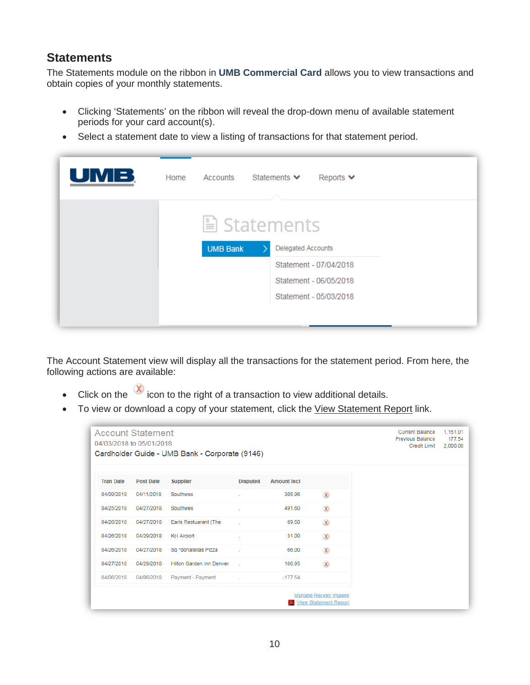#### <span id="page-9-0"></span>**Statements**

The Statements module on the ribbon in **UMB Commercial Card** allows you to view transactions and obtain copies of your monthly statements.

- Clicking 'Statements' on the ribbon will reveal the drop-down menu of available statement periods for your card account(s).
- Select a statement date to view a listing of transactions for that statement period.

| UMB | Home | Accounts<br>Statements $\blacktriangleright$<br>Reports $\blacktriangleright$ |  |
|-----|------|-------------------------------------------------------------------------------|--|
|     |      | Latements                                                                     |  |
|     |      | <b>Delegated Accounts</b><br><b>UMB Bank</b>                                  |  |
|     |      | Statement - 07/04/2018                                                        |  |
|     |      | Statement - 06/05/2018                                                        |  |
|     |      | Statement - 05/03/2018                                                        |  |
|     |      |                                                                               |  |
|     |      |                                                                               |  |

The Account Statement view will display all the transactions for the statement period. From here, the following actions are available:

- Click on the  $\infty$  icon to the right of a transaction to view additional details.
- To view or download a copy of your statement, click the View Statement Report link.

|                  | <b>Account Statement</b><br>04/03/2018 to 05/01/2018 | Cardholder Guide - UMB Bank - Corporate (9146) |                 |                    |                                                              | <b>Current Balance</b><br>Previous Balance<br><b>Credit Limit</b> | 1,151.01<br>177.54<br>2,000.00 |
|------------------|------------------------------------------------------|------------------------------------------------|-----------------|--------------------|--------------------------------------------------------------|-------------------------------------------------------------------|--------------------------------|
| <b>Tran Date</b> | <b>Post Date</b>                                     | <b>Supplier</b>                                | <b>Disputed</b> | <b>Amount Incl</b> |                                                              |                                                                   |                                |
| 04/09/2018       | 04/11/2018                                           | Southwes                                       |                 | 305.96             | $\infty$                                                     |                                                                   |                                |
| 04/25/2018       | 04/27/2018                                           | Southwes                                       |                 | 491.60             | $\infty$                                                     |                                                                   |                                |
| 04/26/2018       | 04/27/2018                                           | Earls Restuarant (The                          | <b>College</b>  | 89.50              | $\chi$                                                       |                                                                   |                                |
| 04/26/2018       | 04/29/2018                                           | Kci Airport                                    |                 | 31.00              | $\infty$                                                     |                                                                   |                                |
| 04/26/2018       | 04/27/2018                                           | Sq *donatellas Pizza                           | <b>COL</b>      | 66.00              | $\infty$                                                     |                                                                   |                                |
| 04/27/2018       | 04/29/2018                                           | Hilton Garden Inn Denver                       |                 | 166.95             | $\infty$                                                     |                                                                   |                                |
| 04/06/2018       | 04/06/2018                                           | Payment - Payment                              |                 | $-177.54$          |                                                              |                                                                   |                                |
|                  |                                                      |                                                |                 |                    | <b>Manage Receipt Images</b><br><b>View Statement Report</b> |                                                                   |                                |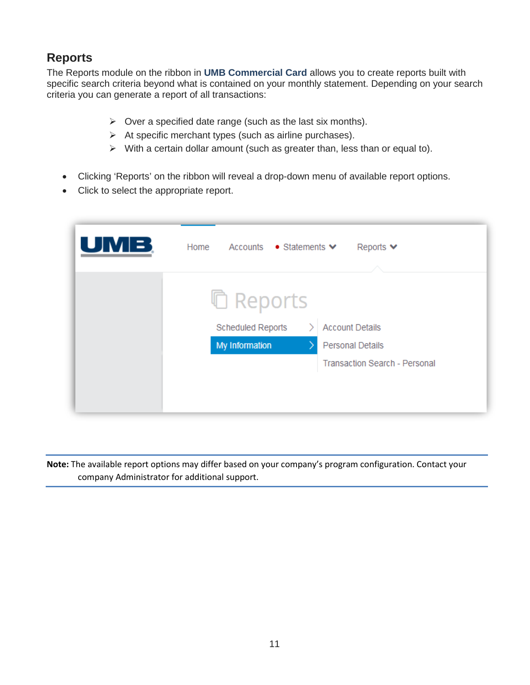## <span id="page-10-0"></span>**Reports**

The Reports module on the ribbon in **UMB Commercial Card** allows you to create reports built with specific search criteria beyond what is contained on your monthly statement. Depending on your search criteria you can generate a report of all transactions:

- $\triangleright$  Over a specified date range (such as the last six months).
- $\triangleright$  At specific merchant types (such as airline purchases).
- $\triangleright$  With a certain dollar amount (such as greater than, less than or equal to).
- Clicking 'Reports' on the ribbon will reveal a drop-down menu of available report options.
- Click to select the appropriate report.

| Home<br>Accounts ● Statements ♥<br>Reports $\blacktriangleright$ |
|------------------------------------------------------------------|
| <b>□ Reports</b>                                                 |
| Scheduled Reports<br><b>Account Details</b>                      |
| My Information<br><b>Personal Details</b>                        |
| <b>Transaction Search - Personal</b>                             |
|                                                                  |
|                                                                  |
|                                                                  |

**Note:** The available report options may differ based on your company's program configuration. Contact your company Administrator for additional support.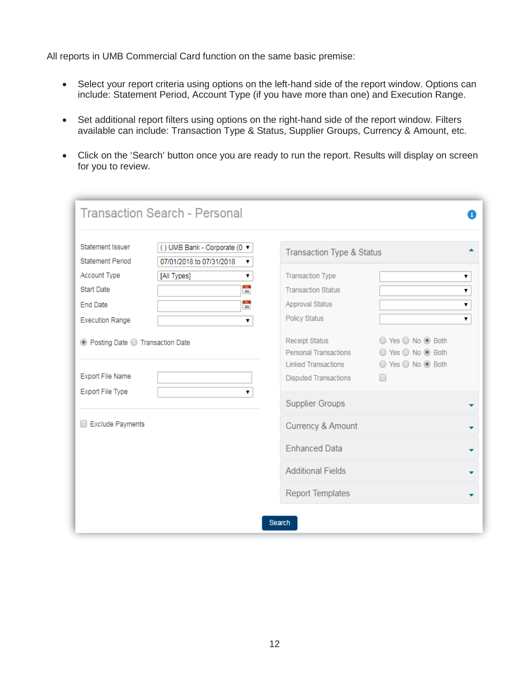All reports in UMB Commercial Card function on the same basic premise:

- Select your report criteria using options on the left-hand side of the report window. Options can include: Statement Period, Account Type (if you have more than one) and Execution Range.
- Set additional report filters using options on the right-hand side of the report window. Filters available can include: Transaction Type & Status, Supplier Groups, Currency & Amount, etc.
- Click on the 'Search' button once you are ready to run the report. Results will display on screen for you to review.

| Statement Issuer<br><b>Statement Period</b> | () UMB Bank - Corporate (0 ▼<br>07/01/2018 to 07/31/2018 | <b>Transaction Type &amp; Status</b> |                   |
|---------------------------------------------|----------------------------------------------------------|--------------------------------------|-------------------|
| Account Type                                | [All Types]<br>۷.                                        | <b>Transaction Type</b>              | 7                 |
| Start Date                                  | kg.<br>21                                                | <b>Transaction Status</b>            | ▼                 |
| <b>End Date</b>                             | $\frac{1}{21}$                                           | Approval Status                      | 7                 |
|                                             |                                                          | Policy Status                        |                   |
| <b>Execution Range</b>                      | ▼                                                        |                                      | 7                 |
| ◎ Posting Date ○ Transaction Date           |                                                          | Receipt Status                       | ○ Yes ○ No ● Both |
|                                             |                                                          | Personal Transactions                | ○ Yes ○ No ◎ Both |
|                                             |                                                          | <b>Linked Transactions</b>           | ○ Yes ○ No ◎ Both |
| <b>Export File Name</b>                     |                                                          | <b>Disputed Transactions</b>         | $\Box$            |
| Export File Type                            | ۷.                                                       | <b>Supplier Groups</b>               |                   |
|                                             |                                                          |                                      |                   |
| <b>Exclude Payments</b>                     |                                                          | Currency & Amount                    |                   |
|                                             |                                                          | <b>Enhanced Data</b>                 |                   |
|                                             |                                                          | <b>Additional Fields</b>             |                   |
|                                             |                                                          | <b>Report Templates</b>              |                   |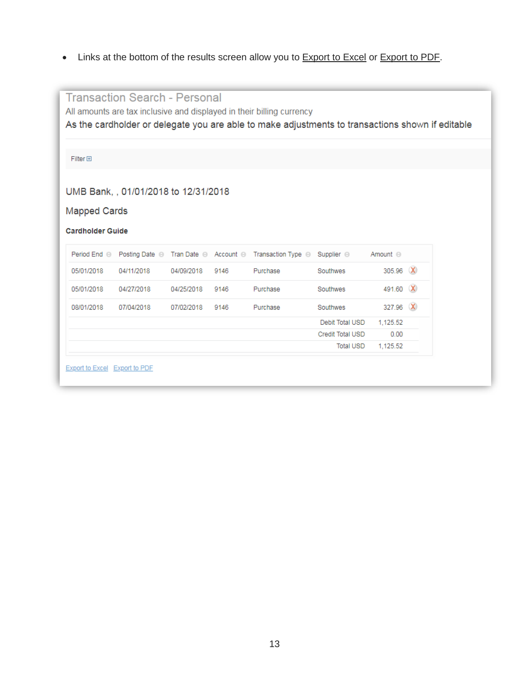• Links at the bottom of the results screen allow you to **Export to Excel or Export to PDF**.

|                         | <b>Transaction Search - Personal</b> |            |      |                                                                                                  |                  |                 |  |
|-------------------------|--------------------------------------|------------|------|--------------------------------------------------------------------------------------------------|------------------|-----------------|--|
|                         |                                      |            |      | All amounts are tax inclusive and displayed in their billing currency                            |                  |                 |  |
|                         |                                      |            |      | As the cardholder or delegate you are able to make adjustments to transactions shown if editable |                  |                 |  |
|                         |                                      |            |      |                                                                                                  |                  |                 |  |
| $Filter \Box$           |                                      |            |      |                                                                                                  |                  |                 |  |
|                         |                                      |            |      |                                                                                                  |                  |                 |  |
|                         | UMB Bank, , 01/01/2018 to 12/31/2018 |            |      |                                                                                                  |                  |                 |  |
| <b>Mapped Cards</b>     |                                      |            |      |                                                                                                  |                  |                 |  |
|                         |                                      |            |      |                                                                                                  |                  |                 |  |
| <b>Cardholder Guide</b> |                                      |            |      |                                                                                                  |                  |                 |  |
|                         |                                      |            |      |                                                                                                  |                  |                 |  |
|                         |                                      |            |      | Period End ⊝ Posting Date ⊝ Tran Date ⊝ Account ⊝ Transaction Type ⊝ Supplier ⊝                  |                  | Amount $\Theta$ |  |
| 05/01/2018              | 04/11/2018                           | 04/09/2018 | 9146 | Purchase                                                                                         | Southwes         | 305.96 X        |  |
| 05/01/2018              | 04/27/2018                           | 04/25/2018 | 9146 | Purchase                                                                                         | Southwes         | 491.60 X        |  |
| 08/01/2018              | 07/04/2018                           | 07/02/2018 | 9146 | Purchase                                                                                         | Southwes         | 327.96 X        |  |
|                         |                                      |            |      |                                                                                                  | Debit Total USD  | 1,125.52        |  |
|                         |                                      |            |      |                                                                                                  | Credit Total USD | 0.00            |  |